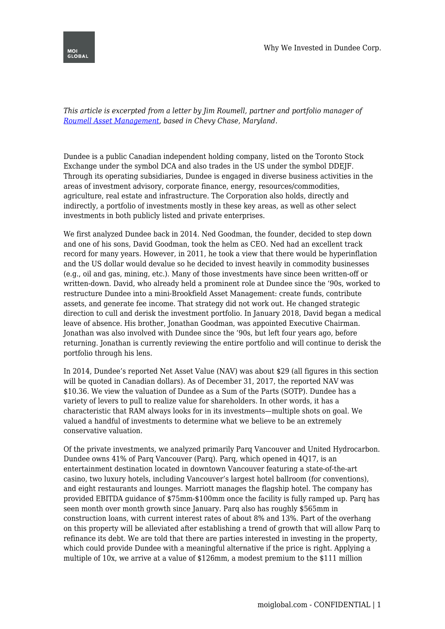

*This article is excerpted from a letter by Jim Roumell, partner and portfolio manager of [Roumell Asset Management](http://roumellasset.com/), based in Chevy Chase, Maryland.*

Dundee is a public Canadian independent holding company, listed on the Toronto Stock Exchange under the symbol DCA and also trades in the US under the symbol DDEJF. Through its operating subsidiaries, Dundee is engaged in diverse business activities in the areas of investment advisory, corporate finance, energy, resources/commodities, agriculture, real estate and infrastructure. The Corporation also holds, directly and indirectly, a portfolio of investments mostly in these key areas, as well as other select investments in both publicly listed and private enterprises.

We first analyzed Dundee back in 2014. Ned Goodman, the founder, decided to step down and one of his sons, David Goodman, took the helm as CEO. Ned had an excellent track record for many years. However, in 2011, he took a view that there would be hyperinflation and the US dollar would devalue so he decided to invest heavily in commodity businesses (e.g., oil and gas, mining, etc.). Many of those investments have since been written-off or written-down. David, who already held a prominent role at Dundee since the '90s, worked to restructure Dundee into a mini-Brookfield Asset Management: create funds, contribute assets, and generate fee income. That strategy did not work out. He changed strategic direction to cull and derisk the investment portfolio. In January 2018, David began a medical leave of absence. His brother, Jonathan Goodman, was appointed Executive Chairman. Jonathan was also involved with Dundee since the '90s, but left four years ago, before returning. Jonathan is currently reviewing the entire portfolio and will continue to derisk the portfolio through his lens.

In 2014, Dundee's reported Net Asset Value (NAV) was about \$29 (all figures in this section will be quoted in Canadian dollars). As of December 31, 2017, the reported NAV was \$10.36. We view the valuation of Dundee as a Sum of the Parts (SOTP). Dundee has a variety of levers to pull to realize value for shareholders. In other words, it has a characteristic that RAM always looks for in its investments—multiple shots on goal. We valued a handful of investments to determine what we believe to be an extremely conservative valuation.

Of the private investments, we analyzed primarily Parq Vancouver and United Hydrocarbon. Dundee owns 41% of Parq Vancouver (Parq). Parq, which opened in 4Q17, is an entertainment destination located in downtown Vancouver featuring a state-of-the-art casino, two luxury hotels, including Vancouver's largest hotel ballroom (for conventions), and eight restaurants and lounges. Marriott manages the flagship hotel. The company has provided EBITDA guidance of \$75mm-\$100mm once the facility is fully ramped up. Parq has seen month over month growth since January. Parq also has roughly \$565mm in construction loans, with current interest rates of about 8% and 13%. Part of the overhang on this property will be alleviated after establishing a trend of growth that will allow Parq to refinance its debt. We are told that there are parties interested in investing in the property, which could provide Dundee with a meaningful alternative if the price is right. Applying a multiple of 10x, we arrive at a value of \$126mm, a modest premium to the \$111 million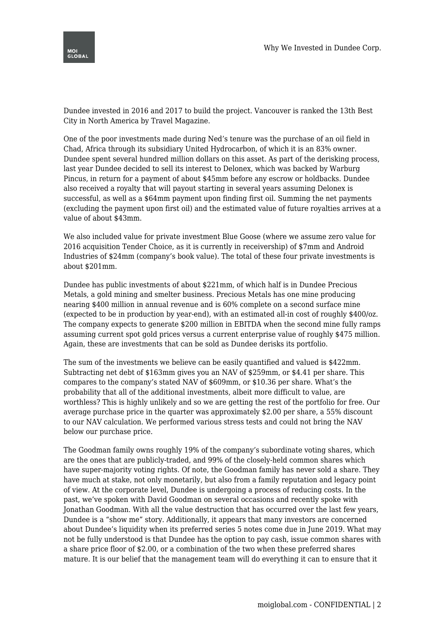

Dundee invested in 2016 and 2017 to build the project. Vancouver is ranked the 13th Best City in North America by Travel Magazine.

One of the poor investments made during Ned's tenure was the purchase of an oil field in Chad, Africa through its subsidiary United Hydrocarbon, of which it is an 83% owner. Dundee spent several hundred million dollars on this asset. As part of the derisking process, last year Dundee decided to sell its interest to Delonex, which was backed by Warburg Pincus, in return for a payment of about \$45mm before any escrow or holdbacks. Dundee also received a royalty that will payout starting in several years assuming Delonex is successful, as well as a \$64mm payment upon finding first oil. Summing the net payments (excluding the payment upon first oil) and the estimated value of future royalties arrives at a value of about \$43mm.

We also included value for private investment Blue Goose (where we assume zero value for 2016 acquisition Tender Choice, as it is currently in receivership) of \$7mm and Android Industries of \$24mm (company's book value). The total of these four private investments is about \$201mm.

Dundee has public investments of about \$221mm, of which half is in Dundee Precious Metals, a gold mining and smelter business. Precious Metals has one mine producing nearing \$400 million in annual revenue and is 60% complete on a second surface mine (expected to be in production by year-end), with an estimated all-in cost of roughly \$400/oz. The company expects to generate \$200 million in EBITDA when the second mine fully ramps assuming current spot gold prices versus a current enterprise value of roughly \$475 million. Again, these are investments that can be sold as Dundee derisks its portfolio.

The sum of the investments we believe can be easily quantified and valued is \$422mm. Subtracting net debt of \$163mm gives you an NAV of \$259mm, or \$4.41 per share. This compares to the company's stated NAV of \$609mm, or \$10.36 per share. What's the probability that all of the additional investments, albeit more difficult to value, are worthless? This is highly unlikely and so we are getting the rest of the portfolio for free. Our average purchase price in the quarter was approximately \$2.00 per share, a 55% discount to our NAV calculation. We performed various stress tests and could not bring the NAV below our purchase price.

The Goodman family owns roughly 19% of the company's subordinate voting shares, which are the ones that are publicly-traded, and 99% of the closely-held common shares which have super-majority voting rights. Of note, the Goodman family has never sold a share. They have much at stake, not only monetarily, but also from a family reputation and legacy point of view. At the corporate level, Dundee is undergoing a process of reducing costs. In the past, we've spoken with David Goodman on several occasions and recently spoke with Jonathan Goodman. With all the value destruction that has occurred over the last few years, Dundee is a "show me" story. Additionally, it appears that many investors are concerned about Dundee's liquidity when its preferred series 5 notes come due in June 2019. What may not be fully understood is that Dundee has the option to pay cash, issue common shares with a share price floor of \$2.00, or a combination of the two when these preferred shares mature. It is our belief that the management team will do everything it can to ensure that it